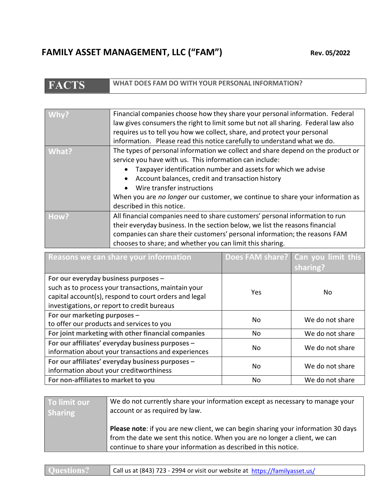## FAMILY ASSET MANAGEMENT, LLC ("FAM") Rev. 05/2022

| Why?  | Financial companies choose how they share your personal information. Federal<br>law gives consumers the right to limit some but not all sharing. Federal law also<br>requires us to tell you how we collect, share, and protect your personal<br>information. Please read this notice carefully to understand what we do.                                                                                   |
|-------|-------------------------------------------------------------------------------------------------------------------------------------------------------------------------------------------------------------------------------------------------------------------------------------------------------------------------------------------------------------------------------------------------------------|
| What? | The types of personal information we collect and share depend on the product or<br>service you have with us. This information can include:<br>Taxpayer identification number and assets for which we advise<br>Account balances, credit and transaction history<br>Wire transfer instructions<br>When you are no longer our customer, we continue to share your information as<br>described in this notice. |
| How?  | All financial companies need to share customers' personal information to run<br>their everyday business. In the section below, we list the reasons financial<br>companies can share their customers' personal information; the reasons FAM<br>chooses to share; and whether you can limit this sharing.                                                                                                     |

| Reasons we can share your information                                                                                                                                                               |            | Does FAM share? Can you limit this<br>sharing? |
|-----------------------------------------------------------------------------------------------------------------------------------------------------------------------------------------------------|------------|------------------------------------------------|
| For our everyday business purposes -<br>such as to process your transactions, maintain your<br>capital account(s), respond to court orders and legal<br>investigations, or report to credit bureaus | <b>Yes</b> | No.                                            |
| For our marketing purposes -<br>to offer our products and services to you                                                                                                                           | No         | We do not share                                |
| For joint marketing with other financial companies                                                                                                                                                  | No         | We do not share                                |
| For our affiliates' everyday business purposes -<br>information about your transactions and experiences                                                                                             | No         | We do not share                                |
| For our affiliates' everyday business purposes -<br>information about your creditworthiness                                                                                                         | No         | We do not share                                |
| For non-affiliates to market to you                                                                                                                                                                 | No         | We do not share                                |

| To limit our   | We do not currently share your information except as necessary to manage your                                                                                                                                                             |
|----------------|-------------------------------------------------------------------------------------------------------------------------------------------------------------------------------------------------------------------------------------------|
| <b>Sharing</b> | account or as required by law.                                                                                                                                                                                                            |
|                | <b>Please note:</b> if you are new client, we can begin sharing your information 30 days<br>from the date we sent this notice. When you are no longer a client, we can<br>continue to share your information as described in this notice. |

|  | $\sim$ . The contract of the contract of the contract of the contract of the contract of the contract of the contract of the contract of the contract of the contract of the contract of the contract of the contract of the co | the contract of the contract of the | the control of the con- |  |
|--|---------------------------------------------------------------------------------------------------------------------------------------------------------------------------------------------------------------------------------|-------------------------------------|-------------------------|--|
|  |                                                                                                                                                                                                                                 |                                     |                         |  |
|  |                                                                                                                                                                                                                                 |                                     |                         |  |